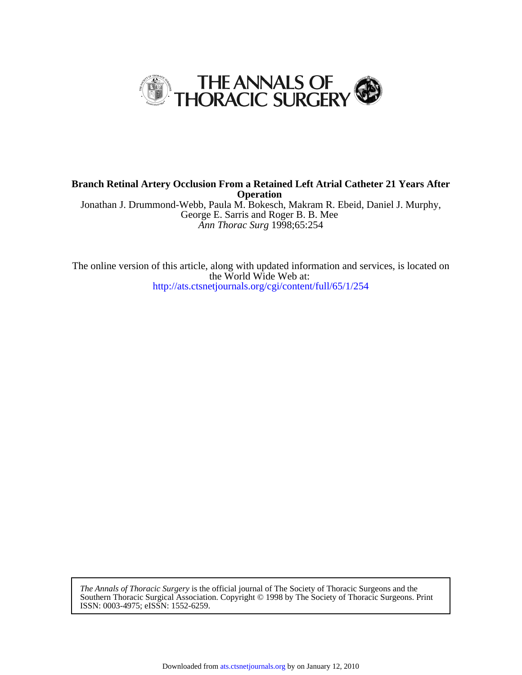

*Ann Thorac Surg* 1998;65:254 George E. Sarris and Roger B. B. Mee Jonathan J. Drummond-Webb, Paula M. Bokesch, Makram R. Ebeid, Daniel J. Murphy, **Operation Branch Retinal Artery Occlusion From a Retained Left Atrial Catheter 21 Years After**

<http://ats.ctsnetjournals.org/cgi/content/full/65/1/254> the World Wide Web at: The online version of this article, along with updated information and services, is located on

ISSN: 0003-4975; eISSN: 1552-6259. Southern Thoracic Surgical Association. Copyright © 1998 by The Society of Thoracic Surgeons. Print *The Annals of Thoracic Surgery* is the official journal of The Society of Thoracic Surgeons and the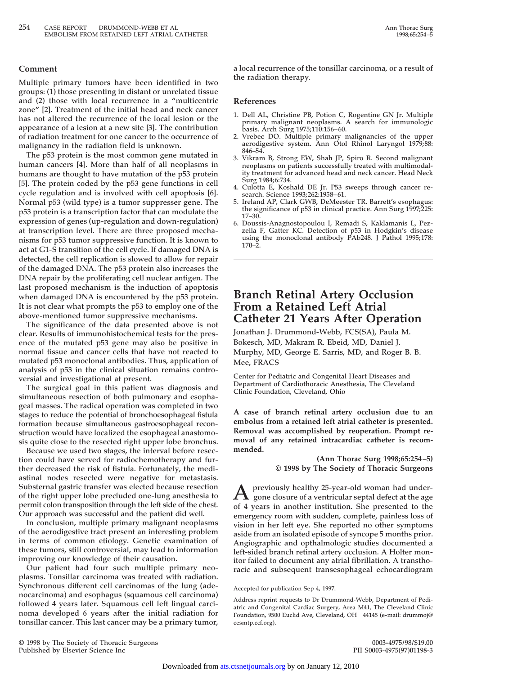#### **Comment**

**Multiple primary tumors have been identified in two groups: (1) those presenting in distant or unrelated tissue and (2) those with local recurrence in a "multicentric zone" [2]. Treatment of the initial head and neck cancer has not altered the recurrence of the local lesion or the appearance of a lesion at a new site [3]. The contribution of radiation treatment for one cancer to the occurrence of malignancy in the radiation field is unknown.**

**The p53 protein is the most common gene mutated in human cancers [4]. More than half of all neoplasms in humans are thought to have mutation of the p53 protein [5]. The protein coded by the p53 gene functions in cell cycle regulation and is involved with cell apoptosis [6]. Normal p53 (wild type) is a tumor suppresser gene. The p53 protein is a transcription factor that can modulate the expression of genes (up-regulation and down-regulation) at transcription level. There are three proposed mechanisms for p53 tumor suppressive function. It is known to act at G1-S transition of the cell cycle. If damaged DNA is detected, the cell replication is slowed to allow for repair of the damaged DNA. The p53 protein also increases the DNA repair by the proliferating cell nuclear antigen. The last proposed mechanism is the induction of apoptosis when damaged DNA is encountered by the p53 protein. It is not clear what prompts the p53 to employ one of the above-mentioned tumor suppressive mechanisms.**

**The significance of the data presented above is not clear. Results of immunohistochemical tests for the presence of the mutated p53 gene may also be positive in normal tissue and cancer cells that have not reacted to mutated p53 monoclonal antibodies. Thus, application of analysis of p53 in the clinical situation remains controversial and investigational at present.**

**The surgical goal in this patient was diagnosis and simultaneous resection of both pulmonary and esophageal masses. The radical operation was completed in two stages to reduce the potential of bronchoesophageal fistula formation because simultaneous gastroesophageal reconstruction would have localized the esophageal anastomosis quite close to the resected right upper lobe bronchus.**

**Because we used two stages, the interval before resection could have served for radiochemotherapy and further decreased the risk of fistula. Fortunately, the mediastinal nodes resected were negative for metastasis. Substernal gastric transfer was elected because resection of the right upper lobe precluded one-lung anesthesia to permit colon transposition through the left side of the chest. Our approach was successful and the patient did well.**

**In conclusion, multiple primary malignant neoplasms of the aerodigestive tract present an interesting problem in terms of common etiology. Genetic examination of these tumors, still controversial, may lead to information improving our knowledge of their causation.**

**Our patient had four such multiple primary neoplasms. Tonsillar carcinoma was treated with radiation. Synchronous different cell carcinomas of the lung (adenocarcinoma) and esophagus (squamous cell carcinoma) followed 4 years later. Squamous cell left lingual carcinoma developed 6 years after the initial radiation for tonsillar cancer. This last cancer may be a primary tumor,**

**a local recurrence of the tonsillar carcinoma, or a result of the radiation therapy.**

#### **References**

- **1. Dell AL, Christine PB, Potion C, Rogentine GN Jr. Multiple primary malignant neoplasms. A search for immunologic basis. Arch Surg 1975;110:156–60.**
- **2. Vrebec DO. Multiple primary malignancies of the upper aerodigestive system. Ann Otol Rhinol Laryngol 1979;88: 846–54.**
- **3. Vikram B, Strong EW, Shah JP, Spiro R. Second malignant neoplasms on patients successfully treated with multimodality treatment for advanced head and neck cancer. Head Neck Surg 1984;6:734.**
- **4. Culotta E, Koshald DE Jr. P53 sweeps through cancer research. Science 1993;262:1958–61.**
- **5. Ireland AP, Clark GWB, DeMeester TR. Barrett's esophagus: the significance of p53 in clinical practice. Ann Surg 1997;225: 17–30.**
- **6. Doussis-Anagnostopoulou I, Remadi S, Kaklamanis L, Pezzella F, Gatter KC. Detection of p53 in Hodgkin's disease using the monoclonal antibody PAb248. J Pathol 1995;178: 170–2.**

# **Branch Retinal Artery Occlusion From a Retained Left Atrial Catheter 21 Years After Operation**

**Jonathan J. Drummond-Webb, FCS(SA), Paula M. Bokesch, MD, Makram R. Ebeid, MD, Daniel J. Murphy, MD, George E. Sarris, MD, and Roger B. B. Mee, FRACS**

**Center for Pediatric and Congenital Heart Diseases and Department of Cardiothoracic Anesthesia, The Cleveland Clinic Foundation, Cleveland, Ohio**

**A case of branch retinal artery occlusion due to an embolus from a retained left atrial catheter is presented. Removal was accomplished by reoperation. Prompt removal of any retained intracardiac catheter is recommended.**

> **(Ann Thorac Surg 1998;65:254–5) © 1998 by The Society of Thoracic Surgeons**

**Apreviously healthy 25-year-old woman had under-gone closure of a ventricular septal defect at the age of 4 years in another institution. She presented to the emergency room with sudden, complete, painless loss of vision in her left eye. She reported no other symptoms aside from an isolated episode of syncope 5 months prior. Angiographic and opthalmologic studies documented a left-sided branch retinal artery occlusion. A Holter monitor failed to document any atrial fibrillation. A transthoracic and subsequent transesophageal echocardiogram**

**Accepted for publication Sep 4, 1997.**

**Address reprint requests to Dr Drummond-Webb, Department of Pediatric and Congenital Cardiac Surgery, Area M41, The Cleveland Clinic Foundation, 9500 Euclid Ave, Cleveland, OH 44145 (e-mail: drummoj@ cesmtp.ccf.org).**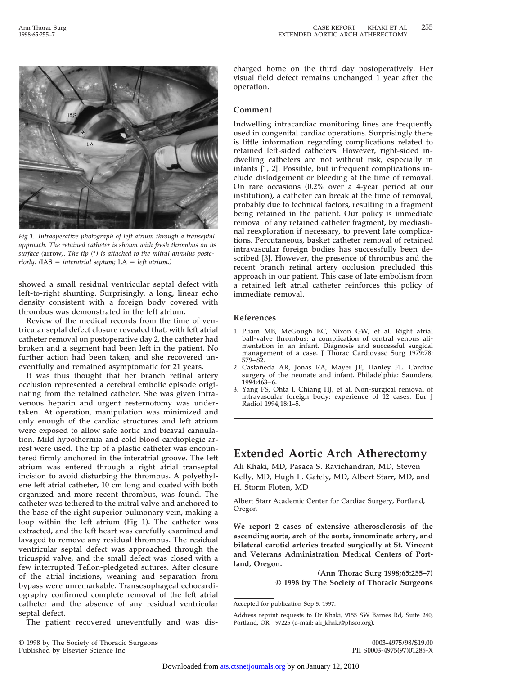

*Fig 1. Intraoperative photograph of left atrium through a transeptal approach. The retained catheter is shown with fresh thrombus on its surface (***arrow***). The tip (***\****) is attached to the mitral annulus posteriorly.* ( $IAS = internal$  *septum;*  $LA = left$  *atrium.)* 

**showed a small residual ventricular septal defect with left-to-right shunting. Surprisingly, a long, linear echo density consistent with a foreign body covered with thrombus was demonstrated in the left atrium.**

**Review of the medical records from the time of ventricular septal defect closure revealed that, with left atrial catheter removal on postoperative day 2, the catheter had broken and a segment had been left in the patient. No further action had been taken, and she recovered uneventfully and remained asymptomatic for 21 years.**

**It was thus thought that her branch retinal artery occlusion represented a cerebral embolic episode originating from the retained catheter. She was given intravenous heparin and urgent resternotomy was undertaken. At operation, manipulation was minimized and only enough of the cardiac structures and left atrium were exposed to allow safe aortic and bicaval cannulation. Mild hypothermia and cold blood cardioplegic arrest were used. The tip of a plastic catheter was encountered firmly anchored in the interatrial groove. The left atrium was entered through a right atrial transeptal incision to avoid disturbing the thrombus. A polyethylene left atrial catheter, 10 cm long and coated with both organized and more recent thrombus, was found. The catheter was tethered to the mitral valve and anchored to the base of the right superior pulmonary vein, making a loop within the left atrium (Fig 1). The catheter was extracted, and the left heart was carefully examined and lavaged to remove any residual thrombus. The residual ventricular septal defect was approached through the tricuspid valve, and the small defect was closed with a few interrupted Teflon-pledgeted sutures. After closure of the atrial incisions, weaning and separation from bypass were unremarkable. Transesophageal echocardiography confirmed complete removal of the left atrial catheter and the absence of any residual ventricular septal defect.**

**The patient recovered uneventfully and was dis-**

**charged home on the third day postoperatively. Her visual field defect remains unchanged 1 year after the operation.**

### **Comment**

**Indwelling intracardiac monitoring lines are frequently used in congenital cardiac operations. Surprisingly there is little information regarding complications related to retained left-sided catheters. However, right-sided indwelling catheters are not without risk, especially in infants [1, 2]. Possible, but infrequent complications include dislodgement or bleeding at the time of removal. On rare occasions (0.2% over a 4-year period at our institution), a catheter can break at the time of removal, probably due to technical factors, resulting in a fragment being retained in the patient. Our policy is immediate removal of any retained catheter fragment, by mediastinal reexploration if necessary, to prevent late complications. Percutaneous, basket catheter removal of retained intravascular foreign bodies has successfully been described [3]. However, the presence of thrombus and the recent branch retinal artery occlusion precluded this approach in our patient. This case of late embolism from a retained left atrial catheter reinforces this policy of immediate removal.**

### **References**

- **1. Pliam MB, McGough EC, Nixon GW, et al. Right atrial ball-valve thrombus: a complication of central venous alimentation in an infant. Diagnosis and successful surgical management of a case. J Thorac Cardiovasc Surg 1979;78: 579–82.**
- 2. Castañeda AR, Jonas RA, Mayer JE, Hanley FL. Cardiac **surgery of the neonate and infant. Philadelphia: Saunders, 1994:463–6.**
- **3. Yang FS, Ohta I, Chiang HJ, et al. Non-surgical removal of intravascular foreign body: experience of 12 cases. Eur J Radiol 1994;18:1–5.**

# **Extended Aortic Arch Atherectomy**

**Ali Khaki, MD, Pasaca S. Ravichandran, MD, Steven Kelly, MD, Hugh L. Gately, MD, Albert Starr, MD, and H. Storm Floten, MD**

**Albert Starr Academic Center for Cardiac Surgery, Portland, Oregon**

**We report 2 cases of extensive atherosclerosis of the ascending aorta, arch of the aorta, innominate artery, and bilateral carotid arteries treated surgically at St. Vincent and Veterans Administration Medical Centers of Portland, Oregon.**

> **(Ann Thorac Surg 1998;65:255–7) © 1998 by The Society of Thoracic Surgeons**

**Accepted for publication Sep 5, 1997.**

**Address reprint requests to Dr Khaki, 9155 SW Barnes Rd, Suite 240, Portland, OR 97225 (e-mail: ali\_khaki@phsor.org).**